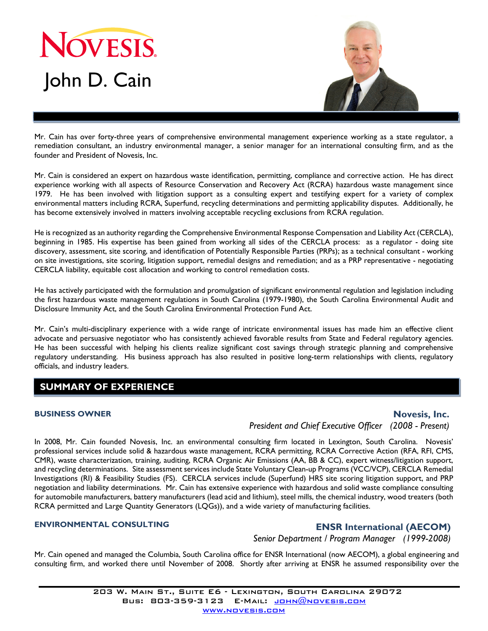



Mr. Cain has over forty-three years of comprehensive environmental management experience working as a state regulator, a remediation consultant, an industry environmental manager, a senior manager for an international consulting firm, and as the founder and President of Novesis, Inc.

Mr. Cain is considered an expert on hazardous waste identification, permitting, compliance and corrective action. He has direct experience working with all aspects of Resource Conservation and Recovery Act (RCRA) hazardous waste management since 1979. He has been involved with litigation support as a consulting expert and testifying expert for a variety of complex environmental matters including RCRA, Superfund, recycling determinations and permitting applicability disputes. Additionally, he has become extensively involved in matters involving acceptable recycling exclusions from RCRA regulation.

He is recognized as an authority regarding the Comprehensive Environmental Response Compensation and Liability Act (CERCLA), beginning in 1985. His expertise has been gained from working all sides of the CERCLA process: as a regulator - doing site discovery, assessment, site scoring, and identification of Potentially Responsible Parties (PRPs); as a technical consultant - working on site investigations, site scoring, litigation support, remedial designs and remediation; and as a PRP representative - negotiating CERCLA liability, equitable cost allocation and working to control remediation costs.

He has actively participated with the formulation and promulgation of significant environmental regulation and legislation including the first hazardous waste management regulations in South Carolina (1979-1980), the South Carolina Environmental Audit and Disclosure Immunity Act, and the South Carolina Environmental Protection Fund Act.

Mr. Cain's multi-disciplinary experience with a wide range of intricate environmental issues has made him an effective client advocate and persuasive negotiator who has consistently achieved favorable results from State and Federal regulatory agencies. He has been successful with helping his clients realize significant cost savings through strategic planning and comprehensive regulatory understanding. His business approach has also resulted in positive long-term relationships with clients, regulatory officials, and industry leaders.

# **SUMMARY OF EXPERIENCE**

#### **BUSINESS OWNER**

### **Novesis, Inc.**

*President and Chief Executive Officer (2008 - Present)*

In 2008, Mr. Cain founded Novesis, Inc. an environmental consulting firm located in Lexington, South Carolina. Novesis' professional services include solid & hazardous waste management, RCRA permitting, RCRA Corrective Action (RFA, RFI, CMS, CMR), waste characterization, training, auditing, RCRA Organic Air Emissions (AA, BB & CC), expert witness/litigation support, and recycling determinations. Site assessment services include State Voluntary Clean-up Programs (VCC/VCP), CERCLA Remedial Investigations (RI) & Feasibility Studies (FS). CERCLA services include (Superfund) HRS site scoring litigation support, and PRP negotiation and liability determinations. Mr. Cain has extensive experience with hazardous and solid waste compliance consulting for automobile manufacturers, battery manufacturers (lead acid and lithium), steel mills, the chemical industry, wood treaters (both RCRA permitted and Large Quantity Generators (LQGs)), and a wide variety of manufacturing facilities.

#### **ENVIRONMENTAL CONSULTING**

### **ENSR International (AECOM)**

*Senior Department / Program Manager (1999-2008)*

Mr. Cain opened and managed the Columbia, South Carolina office for ENSR International (now AECOM), a global engineering and consulting firm, and worked there until November of 2008. Shortly after arriving at ENSR he assumed responsibility over the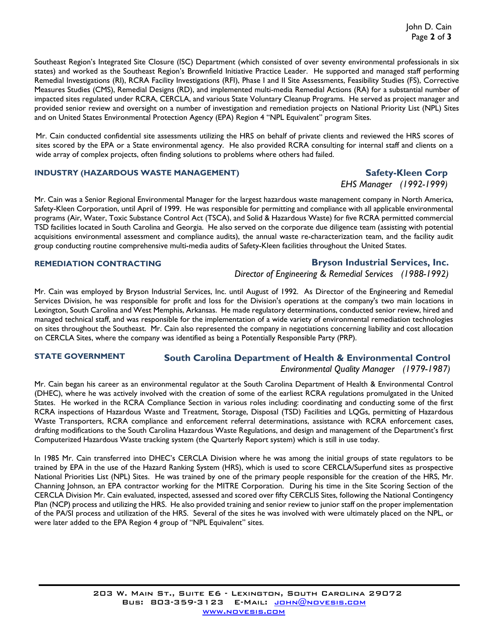Southeast Region's Integrated Site Closure (ISC) Department (which consisted of over seventy environmental professionals in six states) and worked as the Southeast Region's Brownfield Initiative Practice Leader. He supported and managed staff performing Remedial Investigations (RI), RCRA Facility Investigations (RFI), Phase I and II Site Assessments, Feasibility Studies (FS), Corrective Measures Studies (CMS), Remedial Designs (RD), and implemented multi-media Remedial Actions (RA) for a substantial number of impacted sites regulated under RCRA, CERCLA, and various State Voluntary Cleanup Programs. He served as project manager and provided senior review and oversight on a number of investigation and remediation projects on National Priority List (NPL) Sites and on United States Environmental Protection Agency (EPA) Region 4 "NPL Equivalent" program Sites.

Mr. Cain conducted confidential site assessments utilizing the HRS on behalf of private clients and reviewed the HRS scores of sites scored by the EPA or a State environmental agency. He also provided RCRA consulting for internal staff and clients on a wide array of complex projects, often finding solutions to problems where others had failed.

#### **INDUSTRY (HAZARDOUS WASTE MANAGEMENT)**

## **Safety-Kleen Corp**  *EHS Manager (1992-1999)*

Mr. Cain was a Senior Regional Environmental Manager for the largest hazardous waste management company in North America, Safety-Kleen Corporation, until April of 1999. He was responsible for permitting and compliance with all applicable environmental programs (Air, Water, Toxic Substance Control Act (TSCA), and Solid & Hazardous Waste) for five RCRA permitted commercial TSD facilities located in South Carolina and Georgia. He also served on the corporate due diligence team (assisting with potential acquisitions environmental assessment and compliance audits), the annual waste re-characterization team, and the facility audit group conducting routine comprehensive multi-media audits of Safety-Kleen facilities throughout the United States.

#### **REMEDIATION CONTRACTING**

#### **Bryson Industrial Services, Inc.**

*Director of Engineering & Remedial Services (1988-1992)*

Mr. Cain was employed by Bryson Industrial Services, Inc. until August of 1992. As Director of the Engineering and Remedial Services Division, he was responsible for profit and loss for the Division's operations at the company's two main locations in Lexington, South Carolina and West Memphis, Arkansas. He made regulatory determinations, conducted senior review, hired and managed technical staff, and was responsible for the implementation of a wide variety of environmental remediation technologies on sites throughout the Southeast. Mr. Cain also represented the company in negotiations concerning liability and cost allocation on CERCLA Sites, where the company was identified as being a Potentially Responsible Party (PRP).

#### **STATE GOVERNMENT**

# **South Carolina Department of Health & Environmental Control**

# *Environmental Quality Manager (1979-1987)*

Mr. Cain began his career as an environmental regulator at the South Carolina Department of Health & Environmental Control (DHEC), where he was actively involved with the creation of some of the earliest RCRA regulations promulgated in the United States. He worked in the RCRA Compliance Section in various roles including: coordinating and conducting some of the first RCRA inspections of Hazardous Waste and Treatment, Storage, Disposal (TSD) Facilities and LQGs, permitting of Hazardous Waste Transporters, RCRA compliance and enforcement referral determinations, assistance with RCRA enforcement cases, drafting modifications to the South Carolina Hazardous Waste Regulations, and design and management of the Department's first Computerized Hazardous Waste tracking system (the Quarterly Report system) which is still in use today.

In 1985 Mr. Cain transferred into DHEC's CERCLA Division where he was among the initial groups of state regulators to be trained by EPA in the use of the Hazard Ranking System (HRS), which is used to score CERCLA/Superfund sites as prospective National Priorities List (NPL) Sites. He was trained by one of the primary people responsible for the creation of the HRS, Mr. Channing Johnson, an EPA contractor working for the MITRE Corporation. During his time in the Site Scoring Section of the CERCLA Division Mr. Cain evaluated, inspected, assessed and scored over fifty CERCLIS Sites, following the National Contingency Plan (NCP) process and utilizing the HRS. He also provided training and senior review to junior staff on the proper implementation of the PA/SI process and utilization of the HRS. Several of the sites he was involved with were ultimately placed on the NPL, or were later added to the EPA Region 4 group of "NPL Equivalent" sites.